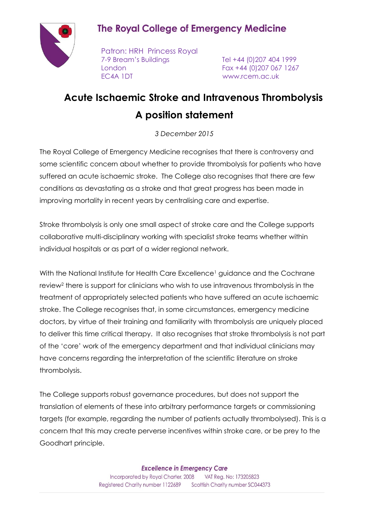

## **The Royal College of Emergency Medicine**

Patron: HRH Princess Royal 7-9 Bream's Buildings Tel +44 (0)207 404 1999 London Fax +44 (0)207 067 1267 EC4A 1DT www.rcem.ac.uk

# **Acute Ischaemic Stroke and Intravenous Thrombolysis A position statement**

*3 December 2015*

The Royal College of Emergency Medicine recognises that there is controversy and some scientific concern about whether to provide thrombolysis for patients who have suffered an acute ischaemic stroke. The College also recognises that there are few conditions as devastating as a stroke and that great progress has been made in improving mortality in recent years by centralising care and expertise.

Stroke thrombolysis is only one small aspect of stroke care and the College supports collaborative multi-disciplinary working with specialist stroke teams whether within individual hospitals or as part of a wider regional network.

With the National Institute for Health Care Excellence<sup>1</sup> guidance and the Cochrane review<sup>2</sup> there is support for clinicians who wish to use intravenous thrombolysis in the treatment of appropriately selected patients who have suffered an acute ischaemic stroke. The College recognises that, in some circumstances, emergency medicine doctors, by virtue of their training and familiarity with thrombolysis are uniquely placed to deliver this time critical therapy. It also recognises that stroke thrombolysis is not part of the 'core' work of the emergency department and that individual clinicians may have concerns regarding the interpretation of the scientific literature on stroke thrombolysis.

The College supports robust governance procedures, but does not support the translation of elements of these into arbitrary performance targets or commissioning targets (for example, regarding the number of patients actually thrombolysed). This is a concern that this may create perverse incentives within stroke care, or be prey to the Goodhart principle.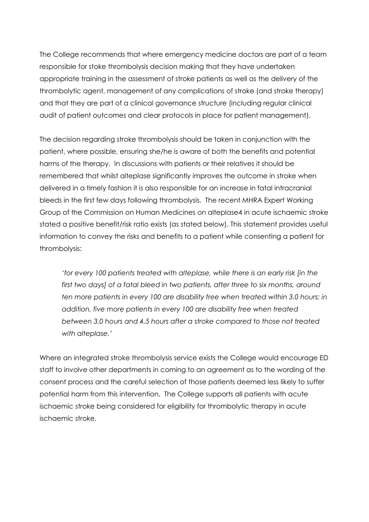The College recommends that where emergency medicine doctors are part of a team responsible for stoke thrombolysis decision making that they have undertaken appropriate training in the assessment of stroke patients as well as the delivery of the thrombolytic agent, management of any complications of stroke (and stroke therapy) and that they are part of a clinical governance structure (including regular clinical audit of patient outcomes and clear protocols in place for patient management).

The decision regarding stroke thrombolysis should be taken in conjunction with the patient, where possible, ensuring she/he is aware of both the benefits and potential harms of the therapy. In discussions with patients or their relatives it should be remembered that whilst alteplase significantly improves the outcome in stroke when delivered in a timely fashion it is also responsible for an increase in fatal intracranial bleeds in the first few days following thrombolysis. The recent MHRA Expert Working Group of the Commission on Human Medicines on alteplase4 in acute ischaemic stroke stated a positive benefit/risk ratio exists (as stated below). This statement provides useful information to convey the risks and benefits to a patient while consenting a patient for thrombolysis:

*'for every 100 patients treated with alteplase, while there is an early risk [in the first two days] of a fatal bleed in two patients, after three to six months, around ten more patients in every 100 are disability free when treated within 3.0 hours; in addition, five more patients in every 100 are disability free when treated between 3.0 hours and 4.5 hours after a stroke compared to those not treated with alteplase.'*

Where an integrated stroke thrombolysis service exists the College would encourage ED staff to involve other departments in coming to an agreement as to the wording of the consent process and the careful selection of those patients deemed less likely to suffer potential harm from this intervention. The College supports all patients with acute ischaemic stroke being considered for eligibility for thrombolytic therapy in acute ischaemic stroke.